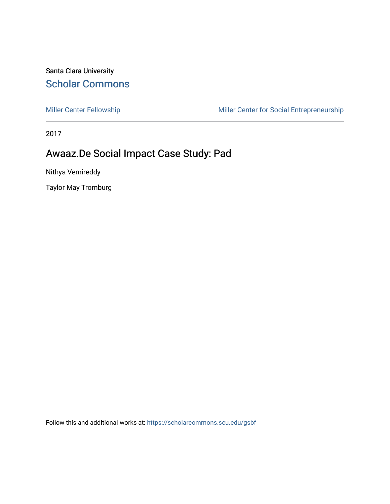Santa Clara University [Scholar Commons](https://scholarcommons.scu.edu/) 

[Miller Center Fellowship](https://scholarcommons.scu.edu/gsbf) Miller Center for Social Entrepreneurship

2017

## Awaaz.De Social Impact Case Study: Pad

Nithya Vemireddy

Taylor May Tromburg

Follow this and additional works at: [https://scholarcommons.scu.edu/gsbf](https://scholarcommons.scu.edu/gsbf?utm_source=scholarcommons.scu.edu%2Fgsbf%2F80&utm_medium=PDF&utm_campaign=PDFCoverPages)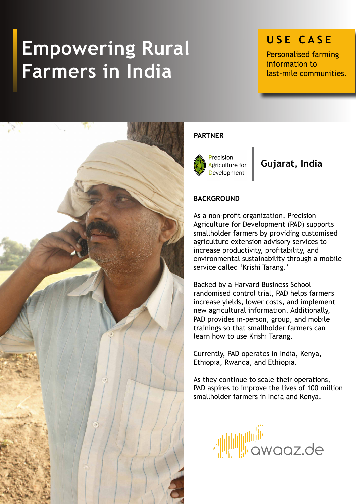# **Empowering Rural Farmers in India**

## **USE CASE**

Personalised farming information to last-mile communities.



## **PARTNER**



## **Gujarat, India**

### **BACKGROUND**

As a non-profit organization, Precision Agriculture for Development (PAD) supports smallholder farmers by providing customised agriculture extension advisory services to increase productivity, profitability, and environmental sustainability through a mobile service called 'Krishi Tarang.'

Backed by a Harvard Business School randomised control trial, PAD helps farmers increase yields, lower costs, and implement new agricultural information. Additionally, PAD provides in-person, group, and mobile trainings so that smallholder farmers can learn how to use Krishi Tarang.

Currently, PAD operates in India, Kenya, Ethiopia, Rwanda, and Ethiopia.

As they continue to scale their operations, PAD aspires to improve the lives of 100 million smallholder farmers in India and Kenya.

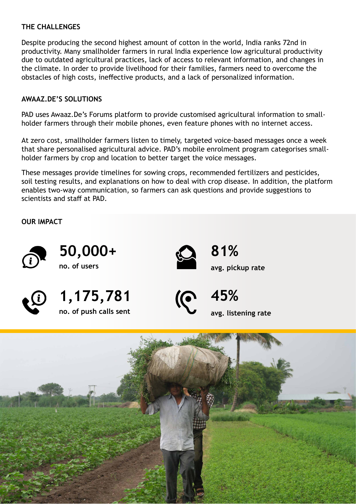#### **THE CHALLENGES**

Despite producing the second highest amount of cotton in the world, India ranks 72nd in productivity. Many smallholder farmers in rural India experience low agricultural productivity due to outdated agricultural practices, lack of access to relevant information, and changes in the climate. In order to provide livelihood for their families, farmers need to overcome the obstacles of high costs, ineffective products, and a lack of personalized information.

#### **AWAAZ.DE'S SOLUTIONS**

PAD uses Awaaz.De's Forums platform to provide customised agricultural information to smallholder farmers through their mobile phones, even feature phones with no internet access.

At zero cost, smallholder farmers listen to timely, targeted voice-based messages once a week that share personalised agricultural advice. PAD's mobile enrolment program categorises smallholder farmers by crop and location to better target the voice messages.

These messages provide timelines for sowing crops, recommended fertilizers and pesticides, soil testing results, and explanations on how to deal with crop disease. In addition, the platform enables two-way communication, so farmers can ask questions and provide suggestions to scientists and staff at PAD.

**OUR IMPACT**



**no. of users 50,000+**



**avg. pickup rate 81%**



**no. of push calls sent 1,175,781**

**avg. listening rate 45%**